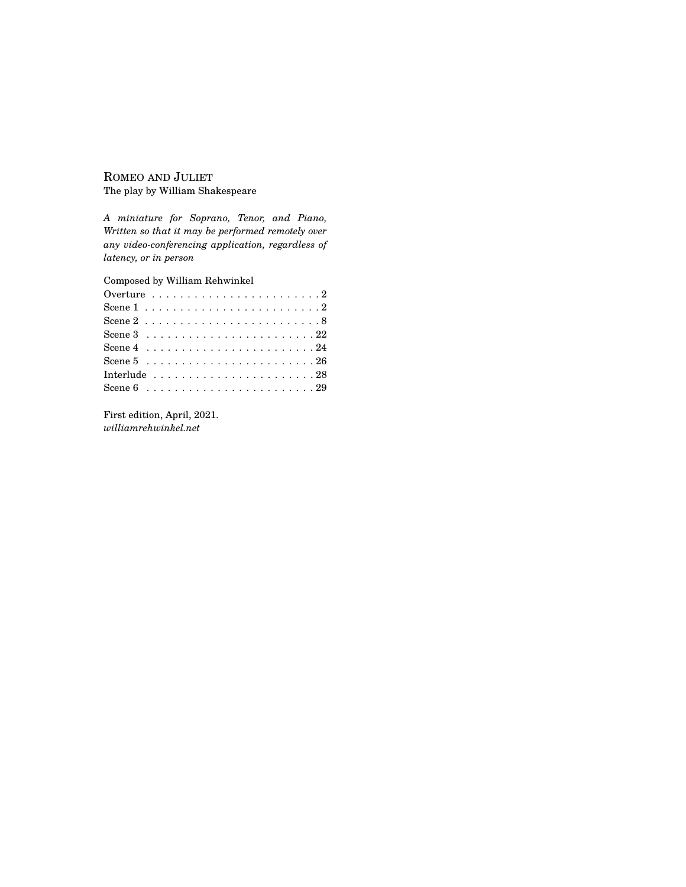## ROMEO AND JULIET The play by William Shakespeare

*A miniature for Soprano, Tenor, and Piano, Written so that it may be performed remotely over any video-conferencing application, regardless of latency, or in person*

Composed by William Rehwinkel

First edition, April, 2021. *williamrehwinkel.net*